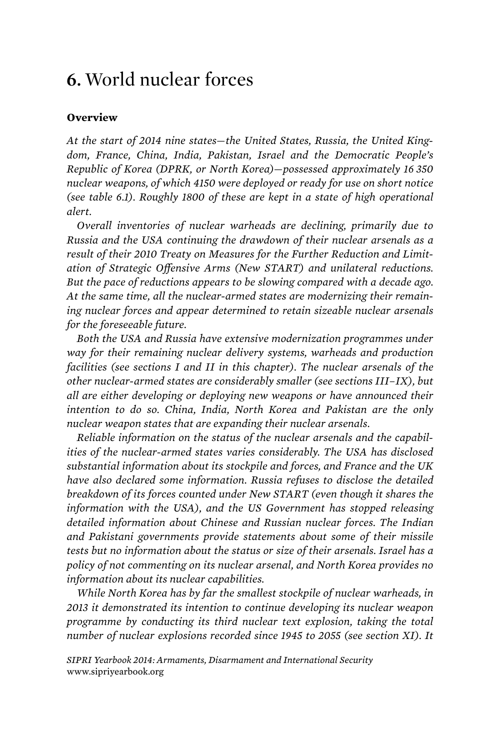## **6.** World nuclear forces

## **Overview**

*At the start of 2014 nine states—the United States, Russia, the United Kingdom, France, China, India, Pakistan, Israel and the Democratic People's Republic of Korea (DPRK, or North Korea)—possessed approximately 16 350 nuclear weapons, of which 4150 were deployed or ready for use on short notice (see table 6.1). Roughly 1800 of these are kept in a state of high operational alert.* 

*Overall inventories of nuclear warheads are declining, primarily due to Russia and the USA continuing the drawdown of their nuclear arsenals as a result of their 2010 Treaty on Measures for the Further Reduction and Limitation of Strategic Offensive Arms (New START) and unilateral reductions. But the pace of reductions appears to be slowing compared with a decade ago. At the same time, all the nuclear-armed states are modernizing their remaining nuclear forces and appear determined to retain sizeable nuclear arsenals for the foreseeable future.* 

*Both the USA and Russia have extensive modernization programmes under way for their remaining nuclear delivery systems, warheads and production facilities (see sections I and II in this chapter). The nuclear arsenals of the other nuclear-armed states are considerably smaller (see sections III–IX), but all are either developing or deploying new weapons or have announced their intention to do so. China, India, North Korea and Pakistan are the only nuclear weapon states that are expanding their nuclear arsenals.* 

*Reliable information on the status of the nuclear arsenals and the capabilities of the nuclear-armed states varies considerably. The USA has disclosed substantial information about its stockpile and forces, and France and the UK have also declared some information. Russia refuses to disclose the detailed breakdown of its forces counted under New START (even though it shares the information with the USA), and the US Government has stopped releasing detailed information about Chinese and Russian nuclear forces. The Indian and Pakistani governments provide statements about some of their missile tests but no information about the status or size of their arsenals. Israel has a policy of not commenting on its nuclear arsenal, and North Korea provides no information about its nuclear capabilities.* 

*While North Korea has by far the smallest stockpile of nuclear warheads, in 2013 it demonstrated its intention to continue developing its nuclear weapon programme by conducting its third nuclear text explosion, taking the total number of nuclear explosions recorded since 1945 to 2055 (see section XI). It*